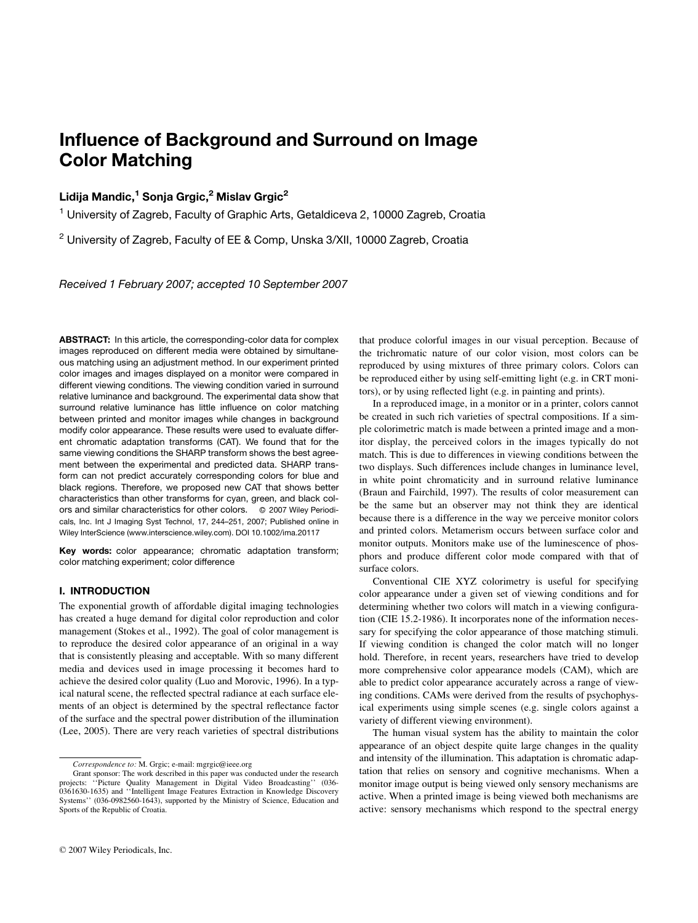# Influence of Background and Surround on Image Color Matching

## Lidija Mandic,<sup>1</sup> Sonja Grgic,<sup>2</sup> Mislav Grgic<sup>2</sup>

<sup>1</sup> University of Zagreb, Faculty of Graphic Arts, Getaldiceva 2, 10000 Zagreb, Croatia

 $2$  University of Zagreb, Faculty of EE & Comp, Unska 3/XII, 10000 Zagreb, Croatia

Received 1 February 2007; accepted 10 September 2007

ABSTRACT: In this article, the corresponding-color data for complex images reproduced on different media were obtained by simultaneous matching using an adjustment method. In our experiment printed color images and images displayed on a monitor were compared in different viewing conditions. The viewing condition varied in surround relative luminance and background. The experimental data show that surround relative luminance has little influence on color matching between printed and monitor images while changes in background modify color appearance. These results were used to evaluate different chromatic adaptation transforms (CAT). We found that for the same viewing conditions the SHARP transform shows the best agreement between the experimental and predicted data. SHARP transform can not predict accurately corresponding colors for blue and black regions. Therefore, we proposed new CAT that shows better characteristics than other transforms for cyan, green, and black colors and similar characteristics for other colors. © 2007 Wiley Periodicals, Inc. Int J Imaging Syst Technol, 17, 244–251, 2007; Published online in Wiley InterScience (www.interscience.wiley.com). DOI 10.1002/ima.20117

Key words: color appearance; chromatic adaptation transform; color matching experiment; color difference

## I. INTRODUCTION

The exponential growth of affordable digital imaging technologies has created a huge demand for digital color reproduction and color management (Stokes et al., 1992). The goal of color management is to reproduce the desired color appearance of an original in a way that is consistently pleasing and acceptable. With so many different media and devices used in image processing it becomes hard to achieve the desired color quality (Luo and Morovic, 1996). In a typical natural scene, the reflected spectral radiance at each surface elements of an object is determined by the spectral reflectance factor of the surface and the spectral power distribution of the illumination (Lee, 2005). There are very reach varieties of spectral distributions that produce colorful images in our visual perception. Because of the trichromatic nature of our color vision, most colors can be reproduced by using mixtures of three primary colors. Colors can be reproduced either by using self-emitting light (e.g. in CRT monitors), or by using reflected light (e.g. in painting and prints).

In a reproduced image, in a monitor or in a printer, colors cannot be created in such rich varieties of spectral compositions. If a simple colorimetric match is made between a printed image and a monitor display, the perceived colors in the images typically do not match. This is due to differences in viewing conditions between the two displays. Such differences include changes in luminance level, in white point chromaticity and in surround relative luminance (Braun and Fairchild, 1997). The results of color measurement can be the same but an observer may not think they are identical because there is a difference in the way we perceive monitor colors and printed colors. Metamerism occurs between surface color and monitor outputs. Monitors make use of the luminescence of phosphors and produce different color mode compared with that of surface colors.

Conventional CIE XYZ colorimetry is useful for specifying color appearance under a given set of viewing conditions and for determining whether two colors will match in a viewing configuration (CIE 15.2-1986). It incorporates none of the information necessary for specifying the color appearance of those matching stimuli. If viewing condition is changed the color match will no longer hold. Therefore, in recent years, researchers have tried to develop more comprehensive color appearance models (CAM), which are able to predict color appearance accurately across a range of viewing conditions. CAMs were derived from the results of psychophysical experiments using simple scenes (e.g. single colors against a variety of different viewing environment).

The human visual system has the ability to maintain the color appearance of an object despite quite large changes in the quality and intensity of the illumination. This adaptation is chromatic adaptation that relies on sensory and cognitive mechanisms. When a monitor image output is being viewed only sensory mechanisms are active. When a printed image is being viewed both mechanisms are active: sensory mechanisms which respond to the spectral energy

Correspondence to: M. Grgic; e-mail: mgrgic@ieee.org

Grant sponsor: The work described in this paper was conducted under the research projects: ''Picture Quality Management in Digital Video Broadcasting'' (036- 0361630-1635) and ''Intelligent Image Features Extraction in Knowledge Discovery Systems'' (036-0982560-1643), supported by the Ministry of Science, Education and Sports of the Republic of Croatia.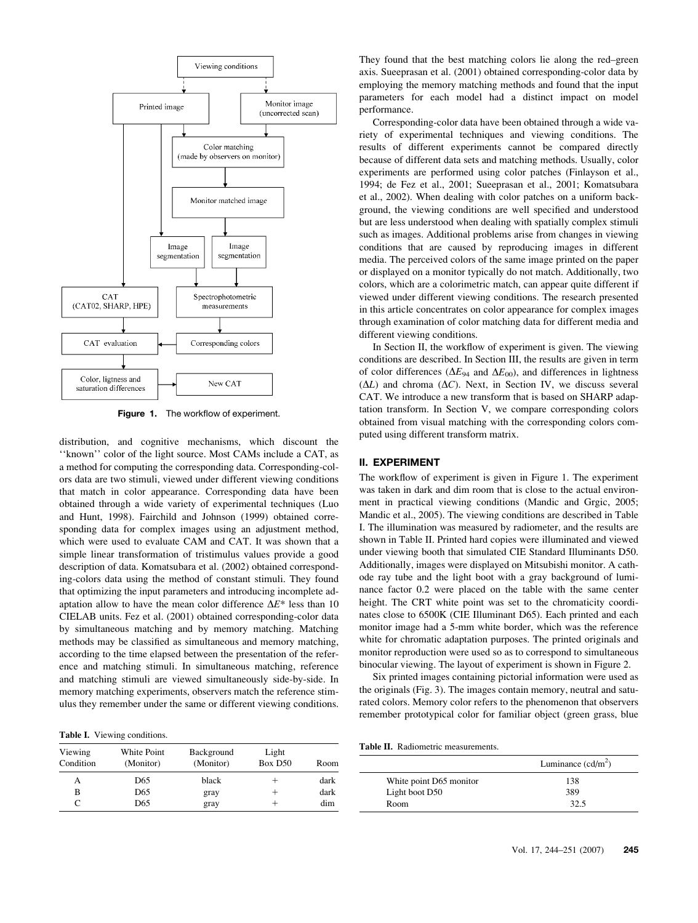

Figure 1. The workflow of experiment.

distribution, and cognitive mechanisms, which discount the ''known'' color of the light source. Most CAMs include a CAT, as a method for computing the corresponding data. Corresponding-colors data are two stimuli, viewed under different viewing conditions that match in color appearance. Corresponding data have been obtained through a wide variety of experimental techniques (Luo and Hunt, 1998). Fairchild and Johnson (1999) obtained corresponding data for complex images using an adjustment method, which were used to evaluate CAM and CAT. It was shown that a simple linear transformation of tristimulus values provide a good description of data. Komatsubara et al. (2002) obtained corresponding-colors data using the method of constant stimuli. They found that optimizing the input parameters and introducing incomplete adaptation allow to have the mean color difference  $\Delta E^*$  less than 10 CIELAB units. Fez et al. (2001) obtained corresponding-color data by simultaneous matching and by memory matching. Matching methods may be classified as simultaneous and memory matching, according to the time elapsed between the presentation of the reference and matching stimuli. In simultaneous matching, reference and matching stimuli are viewed simultaneously side-by-side. In memory matching experiments, observers match the reference stimulus they remember under the same or different viewing conditions.

Table I. Viewing conditions.

| Viewing<br>Condition | White Point<br>(Monitor) | Background<br>(Monitor) | Light<br>Box D50 | Room |
|----------------------|--------------------------|-------------------------|------------------|------|
| А                    | D65                      | black                   |                  | dark |
| в                    | D65                      | gray                    |                  | dark |
| C                    | D65                      | gray                    |                  | dim  |

They found that the best matching colors lie along the red–green axis. Sueeprasan et al. (2001) obtained corresponding-color data by employing the memory matching methods and found that the input parameters for each model had a distinct impact on model performance.

Corresponding-color data have been obtained through a wide variety of experimental techniques and viewing conditions. The results of different experiments cannot be compared directly because of different data sets and matching methods. Usually, color experiments are performed using color patches (Finlayson et al., 1994; de Fez et al., 2001; Sueeprasan et al., 2001; Komatsubara et al., 2002). When dealing with color patches on a uniform background, the viewing conditions are well specified and understood but are less understood when dealing with spatially complex stimuli such as images. Additional problems arise from changes in viewing conditions that are caused by reproducing images in different media. The perceived colors of the same image printed on the paper or displayed on a monitor typically do not match. Additionally, two colors, which are a colorimetric match, can appear quite different if viewed under different viewing conditions. The research presented in this article concentrates on color appearance for complex images through examination of color matching data for different media and different viewing conditions.

In Section II, the workflow of experiment is given. The viewing conditions are described. In Section III, the results are given in term of color differences ( $\Delta E_{94}$  and  $\Delta E_{00}$ ), and differences in lightness  $(\Delta L)$  and chroma  $(\Delta C)$ . Next, in Section IV, we discuss several CAT. We introduce a new transform that is based on SHARP adaptation transform. In Section V, we compare corresponding colors obtained from visual matching with the corresponding colors computed using different transform matrix.

### II. EXPERIMENT

The workflow of experiment is given in Figure 1. The experiment was taken in dark and dim room that is close to the actual environment in practical viewing conditions (Mandic and Grgic, 2005; Mandic et al., 2005). The viewing conditions are described in Table I. The illumination was measured by radiometer, and the results are shown in Table II. Printed hard copies were illuminated and viewed under viewing booth that simulated CIE Standard Illuminants D50. Additionally, images were displayed on Mitsubishi monitor. A cathode ray tube and the light boot with a gray background of luminance factor 0.2 were placed on the table with the same center height. The CRT white point was set to the chromaticity coordinates close to 6500K (CIE Illuminant D65). Each printed and each monitor image had a 5-mm white border, which was the reference white for chromatic adaptation purposes. The printed originals and monitor reproduction were used so as to correspond to simultaneous binocular viewing. The layout of experiment is shown in Figure 2.

Six printed images containing pictorial information were used as the originals (Fig. 3). The images contain memory, neutral and saturated colors. Memory color refers to the phenomenon that observers remember prototypical color for familiar object (green grass, blue

Table II. Radiometric measurements.

|                         | Luminance $(cd/m^2)$ |
|-------------------------|----------------------|
| White point D65 monitor | 138                  |
| Light boot D50          | 389                  |
| Room                    | 32.5                 |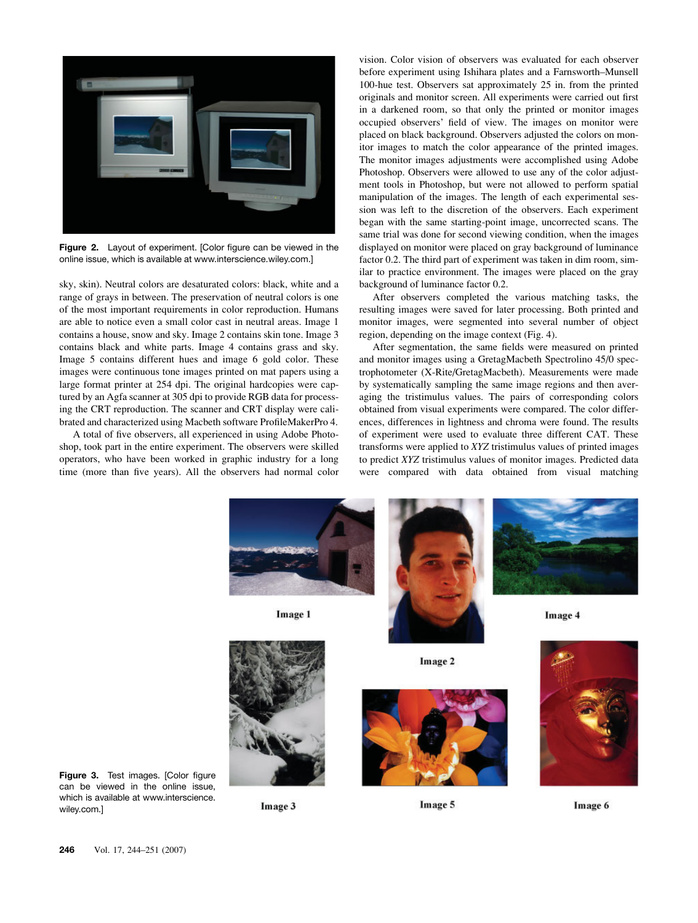

Figure 2. Layout of experiment. [Color figure can be viewed in the online issue, which is available at www.interscience.wiley.com.]

sky, skin). Neutral colors are desaturated colors: black, white and a range of grays in between. The preservation of neutral colors is one of the most important requirements in color reproduction. Humans are able to notice even a small color cast in neutral areas. Image 1 contains a house, snow and sky. Image 2 contains skin tone. Image 3 contains black and white parts. Image 4 contains grass and sky. Image 5 contains different hues and image 6 gold color. These images were continuous tone images printed on mat papers using a large format printer at 254 dpi. The original hardcopies were captured by an Agfa scanner at 305 dpi to provide RGB data for processing the CRT reproduction. The scanner and CRT display were calibrated and characterized using Macbeth software ProfileMakerPro 4.

A total of five observers, all experienced in using Adobe Photoshop, took part in the entire experiment. The observers were skilled operators, who have been worked in graphic industry for a long time (more than five years). All the observers had normal color vision. Color vision of observers was evaluated for each observer before experiment using Ishihara plates and a Farnsworth–Munsell 100-hue test. Observers sat approximately 25 in. from the printed originals and monitor screen. All experiments were carried out first in a darkened room, so that only the printed or monitor images occupied observers' field of view. The images on monitor were placed on black background. Observers adjusted the colors on monitor images to match the color appearance of the printed images. The monitor images adjustments were accomplished using Adobe Photoshop. Observers were allowed to use any of the color adjustment tools in Photoshop, but were not allowed to perform spatial manipulation of the images. The length of each experimental session was left to the discretion of the observers. Each experiment began with the same starting-point image, uncorrected scans. The same trial was done for second viewing condition, when the images displayed on monitor were placed on gray background of luminance factor 0.2. The third part of experiment was taken in dim room, similar to practice environment. The images were placed on the gray background of luminance factor 0.2.

After observers completed the various matching tasks, the resulting images were saved for later processing. Both printed and monitor images, were segmented into several number of object region, depending on the image context (Fig. 4).

After segmentation, the same fields were measured on printed and monitor images using a GretagMacbeth Spectrolino 45/0 spectrophotometer (X-Rite/GretagMacbeth). Measurements were made by systematically sampling the same image regions and then averaging the tristimulus values. The pairs of corresponding colors obtained from visual experiments were compared. The color differences, differences in lightness and chroma were found. The results of experiment were used to evaluate three different CAT. These transforms were applied to XYZ tristimulus values of printed images to predict XYZ tristimulus values of monitor images. Predicted data were compared with data obtained from visual matching



Image 1





Image 4





Image 3

Image 2



Image 5

Image 6

wiley.com.]

Figure 3. Test images. [Color figure can be viewed in the online issue, which is available at www.interscience.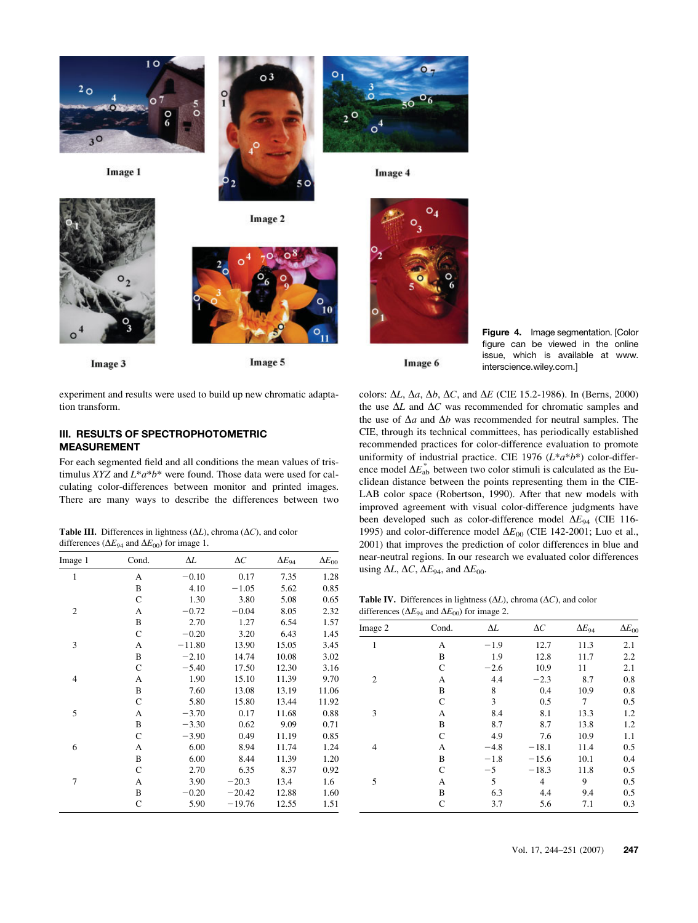

Image 1



Image 3



Image 2

 $\circ$ <sup>3</sup>

Image 5

 $\Omega$ 

Image 4



Image 6

Figure 4. Image segmentation. [Color figure can be viewed in the online issue, which is available at www. interscience.wiley.com.]

experiment and results were used to build up new chromatic adaptation transform.

## III. RESULTS OF SPECTROPHOTOMETRIC MEASUREMENT

For each segmented field and all conditions the mean values of tristimulus XYZ and  $L^*a^*b^*$  were found. Those data were used for calculating color-differences between monitor and printed images. There are many ways to describe the differences between two

Table III. Differences in lightness  $(\Delta L)$ , chroma  $(\Delta C)$ , and color differences ( $\Delta E_{94}$  and  $\Delta E_{00}$ ) for image 1.

| Cond.<br>Image 1 |              | ΔL       | $\Delta C$ | $\Delta E_{94}$ | $\Delta E_{00}$ |
|------------------|--------------|----------|------------|-----------------|-----------------|
| $\mathbf{1}$     | A            | $-0.10$  | 0.17       | 7.35            | 1.28            |
|                  | B            | 4.10     | $-1.05$    | 5.62            | 0.85            |
|                  | $\mathsf{C}$ | 1.30     | 3.80       | 5.08            | 0.65            |
| $\overline{2}$   | A            | $-0.72$  | $-0.04$    | 8.05            | 2.32            |
|                  | B            | 2.70     | 1.27       | 6.54            | 1.57            |
|                  | $\mathsf{C}$ | $-0.20$  | 3.20       | 6.43            | 1.45            |
| 3                | A            | $-11.80$ | 13.90      | 15.05           | 3.45            |
|                  | B            | $-2.10$  | 14.74      | 10.08           | 3.02            |
|                  | $\mathsf{C}$ | $-5.40$  | 17.50      | 12.30           | 3.16            |
| 4                | А            | 1.90     | 15.10      | 11.39           | 9.70            |
|                  | B            | 7.60     | 13.08      | 13.19           | 11.06           |
|                  | $\mathsf{C}$ | 5.80     | 15.80      | 13.44           | 11.92           |
| 5                | A            | $-3.70$  | 0.17       | 11.68           | 0.88            |
|                  | B            | $-3.30$  | 0.62       | 9.09            | 0.71            |
|                  | $\mathsf{C}$ | $-3.90$  | 0.49       | 11.19           | 0.85            |
| 6                | A            | 6.00     | 8.94       | 11.74           | 1.24            |
|                  | B            | 6.00     | 8.44       | 11.39           | 1.20            |
|                  | $\mathsf{C}$ | 2.70     | 6.35       | 8.37            | 0.92            |
| 7                | A            | 3.90     | $-20.3$    | 13.4            | 1.6             |
|                  | B            | $-0.20$  | $-20.42$   | 12.88           | 1.60            |
|                  | C            | 5.90     | $-19.76$   | 12.55           | 1.51            |

colors:  $\Delta L$ ,  $\Delta a$ ,  $\Delta b$ ,  $\Delta C$ , and  $\Delta E$  (CIE 15.2-1986). In (Berns, 2000) the use  $\Delta L$  and  $\Delta C$  was recommended for chromatic samples and the use of  $\Delta a$  and  $\Delta b$  was recommended for neutral samples. The CIE, through its technical committees, has periodically established recommended practices for color-difference evaluation to promote uniformity of industrial practice. CIE 1976  $(L^*a^*b^*)$  color-difference model  $\Delta E_{ab}^*$  between two color stimuli is calculated as the Euclidean distance between the points representing them in the CIE-LAB color space (Robertson, 1990). After that new models with improved agreement with visual color-difference judgments have been developed such as color-difference model  $\Delta E_{94}$  (CIE 116-1995) and color-difference model  $\Delta E_{00}$  (CIE 142-2001; Luo et al., 2001) that improves the prediction of color differences in blue and near-neutral regions. In our research we evaluated color differences using  $\Delta L$ ,  $\Delta C$ ,  $\Delta E_{94}$ , and  $\Delta E_{00}$ .

Table IV. Differences in lightness  $(\Delta L)$ , chroma  $(\Delta C)$ , and color differences ( $\Delta E_{94}$  and  $\Delta E_{00}$ ) for image 2.

| Image 2        | Cond.        | $\Delta L$ | $\Delta C$     | $\Delta E_{94}$ | $\Delta E_{00}$ |
|----------------|--------------|------------|----------------|-----------------|-----------------|
| 1              | А            | $-1.9$     | 12.7           | 11.3            | 2.1             |
|                | B            | 1.9        | 12.8           | 11.7            | 2.2             |
|                | $\mathsf{C}$ | $-2.6$     | 10.9           | 11              | 2.1             |
| $\mathfrak{2}$ | A            | 4.4        | $-2.3$         | 8.7             | 0.8             |
|                | B            | 8          | 0.4            | 10.9            | 0.8             |
|                | $\mathsf{C}$ | 3          | 0.5            | 7               | 0.5             |
| 3              | А            | 8.4        | 8.1            | 13.3            | 1.2             |
|                | B            | 8.7        | 8.7            | 13.8            | 1.2             |
|                | $\mathsf{C}$ | 4.9        | 7.6            | 10.9            | 1.1             |
| 4              | A            | $-4.8$     | $-18.1$        | 11.4            | 0.5             |
|                | B            | $-1.8$     | $-15.6$        | 10.1            | 0.4             |
|                | $\mathsf{C}$ | $-5$       | $-18.3$        | 11.8            | 0.5             |
| 5              | А            | 5          | $\overline{4}$ | 9               | 0.5             |
|                | B            | 6.3        | 4.4            | 9.4             | 0.5             |
|                | $\mathsf{C}$ | 3.7        | 5.6            | 7.1             | 0.3             |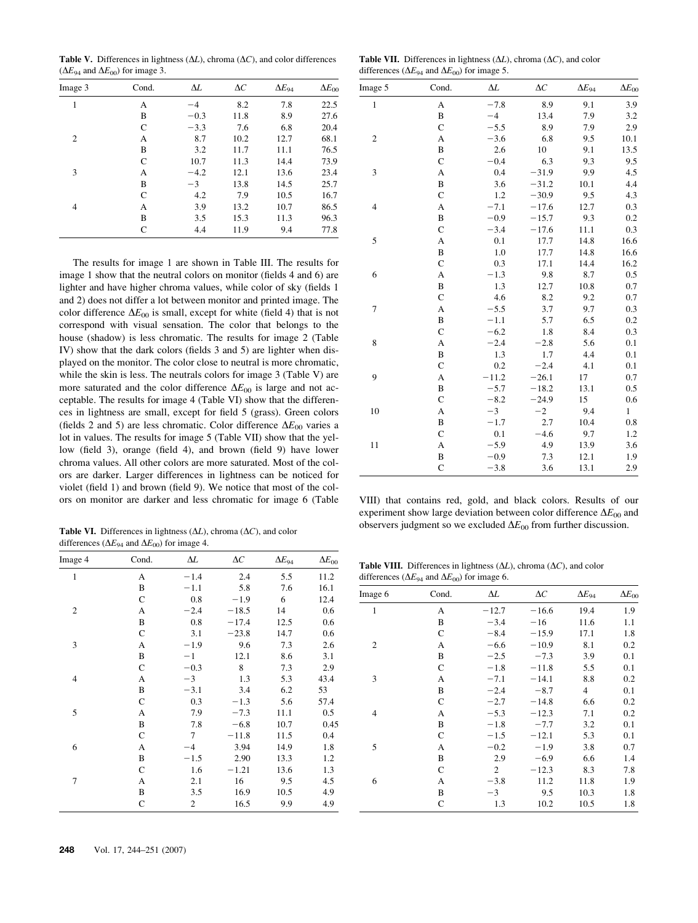Table V. Differences in lightness  $(\Delta L)$ , chroma  $(\Delta C)$ , and color differences  $(\Delta E_{94}$  and  $\Delta E_{00})$  for image 3.

| Image 3 | Cond.        | ΔL     | $\Delta C$ | $\Delta E_{94}$ | $\Delta E_{00}$ |
|---------|--------------|--------|------------|-----------------|-----------------|
| 1       | А            | $-4$   | 8.2        | 7.8             | 22.5            |
|         | B            | $-0.3$ | 11.8       | 8.9             | 27.6            |
|         | C            | $-3.3$ | 7.6        | 6.8             | 20.4            |
| 2       | А            | 8.7    | 10.2       | 12.7            | 68.1            |
|         | B            | 3.2    | 11.7       | 11.1            | 76.5            |
|         | $\mathsf{C}$ | 10.7   | 11.3       | 14.4            | 73.9            |
| 3       | А            | $-4.2$ | 12.1       | 13.6            | 23.4            |
|         | B            | $-3$   | 13.8       | 14.5            | 25.7            |
|         | $\mathsf{C}$ | 4.2    | 7.9        | 10.5            | 16.7            |
| 4       | А            | 3.9    | 13.2       | 10.7            | 86.5            |
|         | B            | 3.5    | 15.3       | 11.3            | 96.3            |
|         | $\mathsf{C}$ | 4.4    | 11.9       | 9.4             | 77.8            |

The results for image 1 are shown in Table III. The results for image 1 show that the neutral colors on monitor (fields 4 and 6) are lighter and have higher chroma values, while color of sky (fields 1 and 2) does not differ a lot between monitor and printed image. The color difference  $\Delta E_{00}$  is small, except for white (field 4) that is not correspond with visual sensation. The color that belongs to the house (shadow) is less chromatic. The results for image 2 (Table IV) show that the dark colors (fields 3 and 5) are lighter when displayed on the monitor. The color close to neutral is more chromatic, while the skin is less. The neutrals colors for image 3 (Table V) are more saturated and the color difference  $\Delta E_{00}$  is large and not acceptable. The results for image 4 (Table VI) show that the differences in lightness are small, except for field 5 (grass). Green colors (fields 2 and 5) are less chromatic. Color difference  $\Delta E_{00}$  varies a lot in values. The results for image 5 (Table VII) show that the yellow (field 3), orange (field 4), and brown (field 9) have lower chroma values. All other colors are more saturated. Most of the colors are darker. Larger differences in lightness can be noticed for violet (field 1) and brown (field 9). We notice that most of the col-

Table VI. Differences in lightness  $(\Delta L)$ , chroma  $(\Delta C)$ , and color differences ( $\Delta E_{94}$  and  $\Delta E_{00}$ ) for image 4.

| Image 4        | Cond.        | $\Delta L$     | $\Delta C$ | $\Delta E_{94}$ | $\Delta E_{00}$ |
|----------------|--------------|----------------|------------|-----------------|-----------------|
| $\mathbf{1}$   | А            | $-1.4$         | 2.4        | 5.5             | 11.2            |
|                | B            | $-1.1$         | 5.8        | 7.6             | 16.1            |
|                | C            | 0.8            | $-1.9$     | 6               | 12.4            |
| $\mathfrak{2}$ | A            | $-2.4$         | $-18.5$    | 14              | 0.6             |
|                | B            | 0.8            | $-17.4$    | 12.5            | 0.6             |
|                | $\mathsf{C}$ | 3.1            | $-23.8$    | 14.7            | 0.6             |
| 3              | A            | $-1.9$         | 9.6        | 7.3             | 2.6             |
|                | B            | $-1$           | 12.1       | 8.6             | 3.1             |
|                | $\mathsf{C}$ | $-0.3$         | 8          | 7.3             | 2.9             |
| 4              | A            | $-3$           | 1.3        | 5.3             | 43.4            |
|                | B            | $-3.1$         | 3.4        | 6.2             | 53              |
|                | $\mathsf{C}$ | 0.3            | $-1.3$     | 5.6             | 57.4            |
| 5              | A            | 7.9            | $-7.3$     | 11.1            | 0.5             |
|                | B            | 7.8            | $-6.8$     | 10.7            | 0.45            |
|                | $\mathsf{C}$ | 7              | $-11.8$    | 11.5            | 0.4             |
| 6              | A            | $-4$           | 3.94       | 14.9            | 1.8             |
|                | B            | $-1.5$         | 2.90       | 13.3            | 1.2             |
|                | $\mathsf{C}$ | 1.6            | $-1.21$    | 13.6            | 1.3             |
| 7              | А            | 2.1            | 16         | 9.5             | 4.5             |
|                | B            | 3.5            | 16.9       | 10.5            | 4.9             |
|                | $\mathsf{C}$ | $\overline{c}$ | 16.5       | 9.9             | 4.9             |
|                |              |                |            |                 |                 |

Table VII. Differences in lightness  $(\Delta L)$ , chroma  $(\Delta C)$ , and color differences ( $\Delta E_{94}$  and  $\Delta E_{00}$ ) for image 5.

| Image 5        | Cond.          | $\Delta L$ | $\Delta C$ | $\Delta E_{94}$ | $\Delta E_{00}$ |
|----------------|----------------|------------|------------|-----------------|-----------------|
| $\mathbf{1}$   | A              | $-7.8$     | 8.9        | 9.1             | 3.9             |
|                | B              | $-4$       | 13.4       | 7.9             | 3.2             |
|                | $\mathsf{C}$   | $-5.5$     | 8.9        | 7.9             | 2.9             |
| $\overline{c}$ | A              | $-3.6$     | 6.8        | 9.5             | 10.1            |
|                | B              | 2.6        | 10         | 9.1             | 13.5            |
|                | $\mathbf C$    | $-0.4$     | 6.3        | 9.3             | 9.5             |
| 3              | A              | 0.4        | $-31.9$    | 9.9             | 4.5             |
|                | B              | 3.6        | $-31.2$    | 10.1            | 4.4             |
|                | $\mathsf{C}$   | 1.2        | $-30.9$    | 9.5             | 4.3             |
| $\overline{4}$ | A              | $-7.1$     | $-17.6$    | 12.7            | 0.3             |
|                | B              | $-0.9$     | $-15.7$    | 9.3             | 0.2             |
|                | $\mathsf{C}$   | $-3.4$     | $-17.6$    | 11.1            | 0.3             |
| 5              | A              | 0.1        | 17.7       | 14.8            | 16.6            |
|                | B              | 1.0        | 17.7       | 14.8            | 16.6            |
|                | $\mathsf C$    | 0.3        | 17.1       | 14.4            | 16.2            |
| 6              | A              | $-1.3$     | 9.8        | 8.7             | 0.5             |
|                | B              | 1.3        | 12.7       | 10.8            | 0.7             |
|                | $\mathsf{C}$   | 4.6        | 8.2        | 9.2             | 0.7             |
| 7              | A              | $-5.5$     | 3.7        | 9.7             | 0.3             |
|                | B              | $-1.1$     | 5.7        | 6.5             | 0.2             |
|                | $\mathsf{C}$   | $-6.2$     | 1.8        | 8.4             | 0.3             |
| 8              | A              | $-2.4$     | $-2.8$     | 5.6             | 0.1             |
|                | B              | 1.3        | 1.7        | 4.4             | 0.1             |
|                | $\mathsf{C}$   | 0.2        | $-2.4$     | 4.1             | 0.1             |
| 9              | A              | $-11.2$    | $-26.1$    | 17              | 0.7             |
|                | B              | $-5.7$     | $-18.2$    | 13.1            | 0.5             |
|                | $\mathbf C$    | $-8.2$     | $-24.9$    | 15              | 0.6             |
| 10             | A              | $-3$       | $-2$       | 9.4             | $\,1$           |
|                | B              | $-1.7$     | 2.7        | 10.4            | 0.8             |
|                | $\mathsf{C}$   | 0.1        | $-4.6$     | 9.7             | 1.2             |
| 11             | A              | $-5.9$     | 4.9        | 13.9            | 3.6             |
|                | B              | $-0.9$     | 7.3        | 12.1            | 1.9             |
|                | $\overline{C}$ | $-3.8$     | 3.6        | 13.1            | 2.9             |
|                |                |            |            |                 |                 |

ors on monitor are darker and less chromatic for image 6 (Table VIII) that contains red, gold, and black colors. Results of our experiment show large deviation between color difference  $\Delta E_{00}$  and observers judgment so we excluded  $\Delta E_{00}$  from further discussion.

Table VIII. Differences in lightness  $(\Delta L)$ , chroma  $(\Delta C)$ , and color differences ( $\Delta E_{94}$  and  $\Delta E_{00}$ ) for image 6.

| Image 6        | Cond.        | ΔL      | $\Delta C$ | $\Delta E_{94}$ | $\Delta E_{00}$ |
|----------------|--------------|---------|------------|-----------------|-----------------|
| 1              | A            | $-12.7$ | $-16.6$    | 19.4            | 1.9             |
|                | B            | $-3.4$  | $-16$      | 11.6            | 1.1             |
|                | $\mathsf{C}$ | $-8.4$  | $-15.9$    | 17.1            | 1.8             |
| $\mathfrak{2}$ | A            | $-6.6$  | $-10.9$    | 8.1             | 0.2             |
|                | B            | $-2.5$  | $-7.3$     | 3.9             | 0.1             |
|                | $\mathsf{C}$ | $-1.8$  | $-11.8$    | 5.5             | 0.1             |
| 3              | A            | $-7.1$  | $-14.1$    | 8.8             | 0.2             |
|                | B            | $-2.4$  | $-8.7$     | 4               | 0.1             |
|                | $\mathsf{C}$ | $-2.7$  | $-14.8$    | 6.6             | 0.2             |
| 4              | A            | $-5.3$  | $-12.3$    | 7.1             | 0.2             |
|                | B            | $-1.8$  | $-7.7$     | 3.2             | 0.1             |
|                | $\mathsf{C}$ | $-1.5$  | $-12.1$    | 5.3             | 0.1             |
| 5              | A            | $-0.2$  | $-1.9$     | 3.8             | 0.7             |
|                | B            | 2.9     | $-6.9$     | 6.6             | 1.4             |
|                | $\mathsf{C}$ | 2       | $-12.3$    | 8.3             | 7.8             |
| 6              | A            | $-3.8$  | 11.2       | 11.8            | 1.9             |
|                | B            | $-3$    | 9.5        | 10.3            | 1.8             |
|                | $\mathsf{C}$ | 1.3     | 10.2       | 10.5            | 1.8             |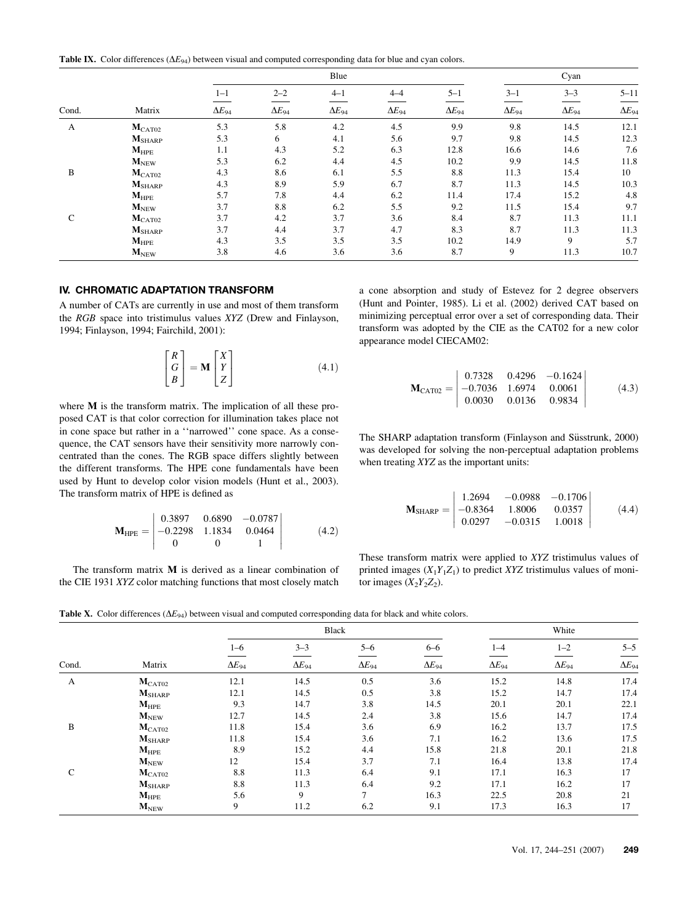Table IX. Color differences  $(\Delta E_{94})$  between visual and computed corresponding data for blue and cyan colors.

|               |                             |                 | Blue            |                 |                 |                 | Cyan            |                 |                 |
|---------------|-----------------------------|-----------------|-----------------|-----------------|-----------------|-----------------|-----------------|-----------------|-----------------|
|               |                             | $1 - 1$         | $2 - 2$         | $4 - 1$         | $4 - 4$         | $5 - 1$         | $3 - 1$         | $3 - 3$         | $5 - 11$        |
| Cond.         | Matrix                      | $\Delta E_{94}$ | $\Delta E_{94}$ | $\Delta E_{94}$ | $\Delta E_{94}$ | $\Delta E_{94}$ | $\Delta E_{94}$ | $\Delta E_{94}$ | $\Delta E_{94}$ |
| A             | $M_{\rm CAT02}$             | 5.3             | 5.8             | 4.2             | 4.5             | 9.9             | 9.8             | 14.5            | 12.1            |
|               | $M_{\rm SHARP}$             | 5.3             | 6               | 4.1             | 5.6             | 9.7             | 9.8             | 14.5            | 12.3            |
|               | $M_{\rm HPE}$               | 1.1             | 4.3             | 5.2             | 6.3             | 12.8            | 16.6            | 14.6            | 7.6             |
|               | $M_{NEW}$                   | 5.3             | 6.2             | 4.4             | 4.5             | 10.2            | 9.9             | 14.5            | 11.8            |
| B             | $M_{\rm CAT02}$             | 4.3             | 8.6             | 6.1             | 5.5             | 8.8             | 11.3            | 15.4            | 10              |
|               | $M_{\rm SHARP}$             | 4.3             | 8.9             | 5.9             | 6.7             | 8.7             | 11.3            | 14.5            | 10.3            |
|               | $M_{\rm HPE}$               | 5.7             | 7.8             | 4.4             | 6.2             | 11.4            | 17.4            | 15.2            | 4.8             |
|               | $\mathbf{M}_{\mathrm{NEW}}$ | 3.7             | 8.8             | 6.2             | 5.5             | 9.2             | 11.5            | 15.4            | 9.7             |
| $\mathcal{C}$ | $M_{\rm CAT02}$             | 3.7             | 4.2             | 3.7             | 3.6             | 8.4             | 8.7             | 11.3            | 11.1            |
|               | $M_{\rm SHARP}$             | 3.7             | 4.4             | 3.7             | 4.7             | 8.3             | 8.7             | 11.3            | 11.3            |
|               | $M_{\rm HPE}$               | 4.3             | 3.5             | 3.5             | 3.5             | 10.2            | 14.9            | 9               | 5.7             |
|               | $M_{NEW}$                   | 3.8             | 4.6             | 3.6             | 3.6             | 8.7             | 9               | 11.3            | 10.7            |

## IV. CHROMATIC ADAPTATION TRANSFORM

A number of CATs are currently in use and most of them transform the RGB space into tristimulus values XYZ (Drew and Finlayson, 1994; Finlayson, 1994; Fairchild, 2001):

$$
\begin{bmatrix} R \\ G \\ B \end{bmatrix} = \mathbf{M} \begin{bmatrix} X \\ Y \\ Z \end{bmatrix}
$$
 (4.1)

where M is the transform matrix. The implication of all these proposed CAT is that color correction for illumination takes place not in cone space but rather in a ''narrowed'' cone space. As a consequence, the CAT sensors have their sensitivity more narrowly concentrated than the cones. The RGB space differs slightly between the different transforms. The HPE cone fundamentals have been used by Hunt to develop color vision models (Hunt et al., 2003). The transform matrix of HPE is defined as

$$
\mathbf{M}_{\text{HPE}} = \begin{vmatrix} 0.3897 & 0.6890 & -0.0787 \\ -0.2298 & 1.1834 & 0.0464 \\ 0 & 0 & 1 \end{vmatrix} \tag{4.2}
$$

The transform matrix M is derived as a linear combination of the CIE 1931 XYZ color matching functions that most closely match a cone absorption and study of Estevez for 2 degree observers (Hunt and Pointer, 1985). Li et al. (2002) derived CAT based on minimizing perceptual error over a set of corresponding data. Their transform was adopted by the CIE as the CAT02 for a new color appearance model CIECAM02:

$$
\mathbf{M}_{\text{CAT02}} = \begin{vmatrix} 0.7328 & 0.4296 & -0.1624 \\ -0.7036 & 1.6974 & 0.0061 \\ 0.0030 & 0.0136 & 0.9834 \end{vmatrix} (4.3)
$$

The SHARP adaptation transform (Finlayson and Süsstrunk, 2000) was developed for solving the non-perceptual adaptation problems when treating XYZ as the important units:

$$
\mathbf{M}_{\text{SHARP}} = \begin{vmatrix} 1.2694 & -0.0988 & -0.1706 \\ -0.8364 & 1.8006 & 0.0357 \\ 0.0297 & -0.0315 & 1.0018 \end{vmatrix} \tag{4.4}
$$

These transform matrix were applied to XYZ tristimulus values of printed images  $(X_1Y_1Z_1)$  to predict XYZ tristimulus values of monitor images  $(X_2Y_2Z_2)$ .

Table X. Color differences ( $\Delta E_{94}$ ) between visual and computed corresponding data for black and white colors.

|               |                    |                 | Black           |                 |                 |                 | White           |                 |  |  |
|---------------|--------------------|-----------------|-----------------|-----------------|-----------------|-----------------|-----------------|-----------------|--|--|
|               |                    | $1 - 6$         | $3 - 3$         | $5 - 6$         | $6 - 6$         | $1 - 4$         | $1 - 2$         | $5 - 5$         |  |  |
| Cond.         | Matrix             | $\Delta E_{94}$ | $\Delta E_{94}$ | $\Delta E_{94}$ | $\Delta E_{94}$ | $\Delta E_{94}$ | $\Delta E_{94}$ | $\Delta E_{94}$ |  |  |
| A             | $M_{\text{CAT}02}$ | 12.1            | 14.5            | 0.5             | 3.6             | 15.2            | 14.8            | 17.4            |  |  |
|               | $M_{\rm SHARP}$    | 12.1            | 14.5            | 0.5             | 3.8             | 15.2            | 14.7            | 17.4            |  |  |
|               | $M_{\rm HPE}$      | 9.3             | 14.7            | 3.8             | 14.5            | 20.1            | 20.1            | 22.1            |  |  |
|               | $M_{\text{NEW}}$   | 12.7            | 14.5            | 2.4             | 3.8             | 15.6            | 14.7            | 17.4            |  |  |
| B             | $M_{\rm CAT02}$    | 11.8            | 15.4            | 3.6             | 6.9             | 16.2            | 13.7            | 17.5            |  |  |
|               | $M_{\rm SHARP}$    | 11.8            | 15.4            | 3.6             | 7.1             | 16.2            | 13.6            | 17.5            |  |  |
|               | $M_{\rm HPE}$      | 8.9             | 15.2            | 4.4             | 15.8            | 21.8            | 20.1            | 21.8            |  |  |
|               | $M_{NEW}$          | 12              | 15.4            | 3.7             | 7.1             | 16.4            | 13.8            | 17.4            |  |  |
| $\mathcal{C}$ | $M_{\rm CAT02}$    | 8.8             | 11.3            | 6.4             | 9.1             | 17.1            | 16.3            | 17              |  |  |
|               | $M_{\rm SHARP}$    | 8.8             | 11.3            | 6.4             | 9.2             | 17.1            | 16.2            | 17              |  |  |
|               | $M_{\rm HPE}$      | 5.6             | 9               | $\mathcal{I}$   | 16.3            | 22.5            | 20.8            | 21              |  |  |
|               | $M_{\text{NEW}}$   | 9               | 11.2            | 6.2             | 9.1             | 17.3            | 16.3            | 17              |  |  |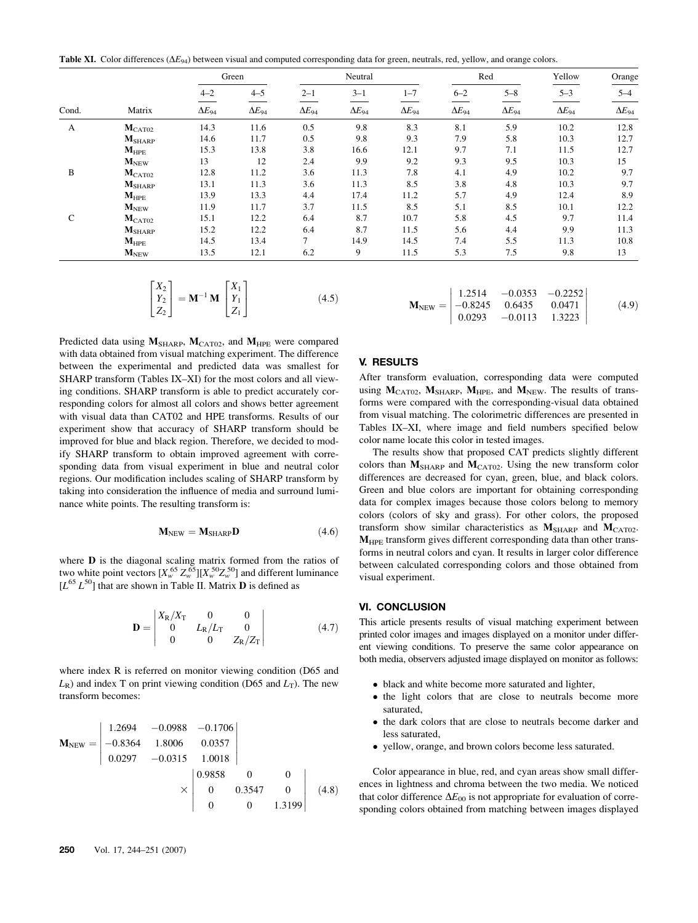Table XI. Color differences  $(\Delta E_{94})$  between visual and computed corresponding data for green, neutrals, red, yellow, and orange colors.

|               |                  | Green           |                 | Neutral         |                 |                 | Red             |                 | Yellow          | Orange          |  |
|---------------|------------------|-----------------|-----------------|-----------------|-----------------|-----------------|-----------------|-----------------|-----------------|-----------------|--|
|               |                  | $4 - 2$         | $4 - 5$         | $2 - 1$         | $3 - 1$         | $1 - 7$         | $6 - 2$         | $5 - 8$         | $5 - 3$         | $5 - 4$         |  |
| Cond.         | Matrix           | $\Delta E_{94}$ | $\Delta E_{94}$ | $\Delta E_{94}$ | $\Delta E_{94}$ | $\Delta E_{94}$ | $\Delta E_{94}$ | $\Delta E_{94}$ | $\Delta E_{94}$ | $\Delta E_{94}$ |  |
| A             | $M_{\rm CAT02}$  | 14.3            | 11.6            | 0.5             | 9.8             | 8.3             | 8.1             | 5.9             | 10.2            | 12.8            |  |
|               | $M_{\rm SHARP}$  | 14.6            | 11.7            | 0.5             | 9.8             | 9.3             | 7.9             | 5.8             | 10.3            | 12.7            |  |
|               | $M_{\rm HPE}$    | 15.3            | 13.8            | 3.8             | 16.6            | 12.1            | 9.7             | 7.1             | 11.5            | 12.7            |  |
|               | $M_{\text{NEW}}$ | 13              | 12              | 2.4             | 9.9             | 9.2             | 9.3             | 9.5             | 10.3            | 15              |  |
| B             | $M_{\rm CATO2}$  | 12.8            | 11.2            | 3.6             | 11.3            | 7.8             | 4.1             | 4.9             | 10.2            | 9.7             |  |
|               | $M_{\rm SHARP}$  | 13.1            | 11.3            | 3.6             | 11.3            | 8.5             | 3.8             | 4.8             | 10.3            | 9.7             |  |
|               | $M_{\rm HPE}$    | 13.9            | 13.3            | 4.4             | 17.4            | 11.2            | 5.7             | 4.9             | 12.4            | 8.9             |  |
|               | $M_{\text{NEW}}$ | 11.9            | 11.7            | 3.7             | 11.5            | 8.5             | 5.1             | 8.5             | 10.1            | 12.2            |  |
| $\mathcal{C}$ | $M_{\rm CATO2}$  | 15.1            | 12.2            | 6.4             | 8.7             | 10.7            | 5.8             | 4.5             | 9.7             | 11.4            |  |
|               | $M_{\rm SHARP}$  | 15.2            | 12.2            | 6.4             | 8.7             | 11.5            | 5.6             | 4.4             | 9.9             | 11.3            |  |
|               | $M_{\text{HPE}}$ | 14.5            | 13.4            | $\tau$          | 14.9            | 14.5            | 7.4             | 5.5             | 11.3            | 10.8            |  |
|               | $M_{\text{NEW}}$ | 13.5            | 12.1            | 6.2             | 9               | 11.5            | 5.3             | 7.5             | 9.8             | 13              |  |

$$
\begin{bmatrix} X_2 \\ Y_2 \\ Z_2 \end{bmatrix} = \mathbf{M}^{-1} \mathbf{M} \begin{bmatrix} X_1 \\ Y_1 \\ Z_1 \end{bmatrix}
$$
 (4.5)

Predicted data using  $M_{\text{SHARP}}$ ,  $M_{\text{CAT02}}$ , and  $M_{\text{HPE}}$  were compared with data obtained from visual matching experiment. The difference between the experimental and predicted data was smallest for SHARP transform (Tables IX–XI) for the most colors and all viewing conditions. SHARP transform is able to predict accurately corresponding colors for almost all colors and shows better agreement with visual data than CAT02 and HPE transforms. Results of our experiment show that accuracy of SHARP transform should be improved for blue and black region. Therefore, we decided to modify SHARP transform to obtain improved agreement with corresponding data from visual experiment in blue and neutral color regions. Our modification includes scaling of SHARP transform by taking into consideration the influence of media and surround luminance white points. The resulting transform is:

$$
\mathbf{M}_{NEW} = \mathbf{M}_{SHARP} \mathbf{D} \tag{4.6}
$$

where D is the diagonal scaling matrix formed from the ratios of two white point vectors  $[X_{w}^{65} Z_{w}^{65}] [X_{w}^{50} Z_{w}^{50}]$  and different luminance  $[L^{65} L^{50}]$  that are shown in Table II. Matrix **D** is defined as

$$
\mathbf{D} = \begin{vmatrix} X_{\rm R}/X_{\rm T} & 0 & 0 \\ 0 & L_{\rm R}/L_{\rm T} & 0 \\ 0 & 0 & Z_{\rm R}/Z_{\rm T} \end{vmatrix}
$$
 (4.7)

where index R is referred on monitor viewing condition (D65 and  $L_{\rm R}$ ) and index T on print viewing condition (D65 and  $L_{\rm T}$ ). The new transform becomes:

$$
\mathbf{M}_{\text{NEW}} = \begin{vmatrix} 1.2694 & -0.0988 & -0.1706 \\ -0.8364 & 1.8006 & 0.0357 \\ 0.0297 & -0.0315 & 1.0018 \\ & \times & 0 & 0.3547 & 0 \\ 0 & 0 & 0 & 1.3199 \end{vmatrix} (4.8)
$$

$$
\mathbf{M}_{\text{NEW}} = \begin{vmatrix} 1.2514 & -0.0353 & -0.2252 \\ -0.8245 & 0.6435 & 0.0471 \\ 0.0293 & -0.0113 & 1.3223 \end{vmatrix}
$$
(4.9)

## V. RESULTS

After transform evaluation, corresponding data were computed using  $M_{\text{CAT}02}$ ,  $M_{\text{SHARP}}$ ,  $M_{\text{HPE}}$ , and  $M_{\text{NEW}}$ . The results of transforms were compared with the corresponding-visual data obtained from visual matching. The colorimetric differences are presented in Tables IX–XI, where image and field numbers specified below color name locate this color in tested images.

The results show that proposed CAT predicts slightly different colors than  $M_{\text{SHARP}}$  and  $M_{\text{CAT02}}$ . Using the new transform color differences are decreased for cyan, green, blue, and black colors. Green and blue colors are important for obtaining corresponding data for complex images because those colors belong to memory colors (colors of sky and grass). For other colors, the proposed transform show similar characteristics as  $M_{\text{SHARP}}$  and  $M_{\text{CAT02}}$ . MHPE transform gives different corresponding data than other transforms in neutral colors and cyan. It results in larger color difference between calculated corresponding colors and those obtained from visual experiment.

#### VI. CONCLUSION

This article presents results of visual matching experiment between printed color images and images displayed on a monitor under different viewing conditions. To preserve the same color appearance on both media, observers adjusted image displayed on monitor as follows:

- black and white become more saturated and lighter,
- the light colors that are close to neutrals become more saturated,
- the dark colors that are close to neutrals become darker and less saturated,
- yellow, orange, and brown colors become less saturated.

Color appearance in blue, red, and cyan areas show small differences in lightness and chroma between the two media. We noticed that color difference  $\Delta E_{00}$  is not appropriate for evaluation of corresponding colors obtained from matching between images displayed